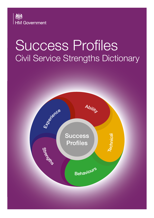

# Success Profiles Civil Service Strengths Dictionary

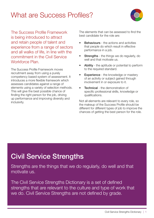### What are Success Profiles?



The Success Profile Framework is being introduced to attract and retain people of talent and experience from a range of sectors and all walks of life, in line with the commitment in the Civil Service Workforce Plan.

The Success Profile Framework moves recruitment away from using a purely competency based system of assessment. It introduces a more flexible framework which assesses candidates against a range of elements using a variety of selection methods. This will give the best possible chance of finding the right person for the job, driving up performance and improving diversity and inclusivity.

The elements that can be assessed to find the best candidate for the role are:

- **Behaviours** the actions and activities that people do which result in effective performance in a job.
- **Strengths** the things we do regularly, do well and that motivate us.
- Ability the aptitude or potential to perform to the required standard.
- **Experience** the knowledge or mastery of an activity or subject gained through involvement in or exposure to it.
- **Technical** the demonstration of specific professional skills, knowledge or qualifications.

Not all elements are relevant to every role, so the makeup of the Success Profile should be different for different types of job to improve the chances of getting the best person for the role.

# Civil Service Strengths

Strengths are the things that we do regularly, do well and that motivate us.

The Civil Service Strengths Dictionary is a set of defined strengths that are relevant to the culture and type of work that we do. Civil Service Strengths are not defined by grade.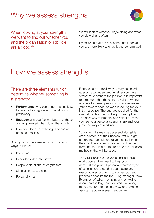## Why we assess strengths



When looking at your strengths, we want to find out whether you and the organisation or job role are a good fit.

We will look at what you enjoy doing and what you do well and often.

By ensuring that the role is the right fit for you, you are more likely to enjoy it and perform well.

### How we assess strengths

#### There are three elements which determine whether something is a strength:

- Performance: you can perform an activity/ behaviour to a high level of capability or proficiency.
- Engagement: you feel motivated, enthused and empowered when doing the activity.
- Use: you do the activity regularly and as often as possible.

Strengths can be assessed in a number of ways, such as:

- Interviews
- Recorded video interviews
- Bespoke situational strengths test
- Simulation assessment
- Personality test.

If attending an interview, you may be asked questions to understand whether you have strengths relevant to the job role. It is important to remember that there are no right or wrong answers to these questions. Do not rehearse your answers because we are looking for your initial response. The qualities required for the role will be described in the job description. The best way to prepare is to reflect on what you feel your personal strengths are and your preferred ways of working.

Your strengths may be assessed alongside other elements of the Success Profile to get a more rounded picture of your suitability for the role. The job description will outline the elements required for the role and the selection method(s) that will be used.

The Civil Service is a diverse and inclusive workplace and we want to help you demonstrate your full potential whatever type of assessment is used. If you require any reasonable adjustments to our recruitment process please let the recruiting manager know. Examples of adjustments include providing documents in large print or braille, allowing more time for a test or interview or providing assistance at an assessment centre.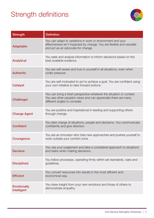# Strength definitions



| <b>Strength</b>                   | <b>Definition</b>                                                                                                                                                           |
|-----------------------------------|-----------------------------------------------------------------------------------------------------------------------------------------------------------------------------|
| <b>Adaptable</b>                  | You can adapt to variations in work or environment and your<br>effectiveness isn't impacted by change. You are flexible and versatile<br>and act as an advocate for change. |
| <b>Analytical</b>                 | You seek and analyse information to inform decisions based on the<br>best available evidence.                                                                               |
| <b>Authentic</b>                  | You are self-aware and true to yourself in all situations, even when<br>under pressure.                                                                                     |
| <b>Catalyst</b>                   | You are self-motivated to act to achieve a goal. You are confident using<br>your own initiative to take forward actions.                                                    |
| <b>Challenger</b>                 | You can bring a fresh perspective whatever the situation or context.<br>You see other people's views and can appreciate there are many<br>different angles to consider.     |
| <b>Change Agent</b>               | You are positive and inspirational in leading and supporting others<br>through change.                                                                                      |
| <b>Confident</b>                  | You take charge of situations, people and decisions. You communicate<br>confidently and give direction.                                                                     |
| <b>Courageous</b>                 | You are an innovator who tries new approaches and pushes yourself to<br>work outside your comfort zone.                                                                     |
| <b>Decisive</b>                   | You use your judgement and take a considered approach to situations<br>and tasks when making decisions.                                                                     |
| <b>Disciplined</b>                | You follow processes, operating firmly within set standards, rules and<br>guidelines.                                                                                       |
| <b>Efficient</b>                  | You convert resources into results in the most efficient and<br>economical way.                                                                                             |
| <b>Emotionally</b><br>Intelligent | You draw insight from your own emotions and those of others to<br>demonstrate empathy.                                                                                      |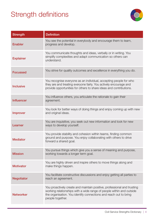# Strength definitions



| <b>Strength</b>   | <b>Definition</b>                                                                                                                                                                                                                        |
|-------------------|------------------------------------------------------------------------------------------------------------------------------------------------------------------------------------------------------------------------------------------|
| <b>Enabler</b>    | You see the potential in everybody and encourage them to learn,<br>progress and develop.                                                                                                                                                 |
| <b>Explainer</b>  | You communicate thoughts and ideas, verbally or in writing. You<br>simplify complexities and adapt communication so others can<br>understand.                                                                                            |
| <b>Focussed</b>   | You strive for quality outcomes and excellence in everything you do.                                                                                                                                                                     |
| <b>Inclusive</b>  | You recognise everyone as an individual, accepting people for who<br>they are and treating everyone fairly. You actively encourage and<br>provide opportunities for others to share ideas and contributions.                             |
| <b>Influencer</b> | You influence others, you articulate the rationale to gain their<br>agreement.                                                                                                                                                           |
| <b>Improver</b>   | You look for better ways of doing things and enjoy coming up with new<br>and original ideas.                                                                                                                                             |
| Learner           | You are inquisitive, you seek out new information and look for new<br>ways to develop yourself.                                                                                                                                          |
| <b>Mediator</b>   | You provide stability and cohesion within teams, finding common<br>ground and purpose. You enjoy collaborating with others to drive<br>forward a shared goal.                                                                            |
| <b>Mission</b>    | You pursue things which give you a sense of meaning and purpose,<br>working towards a longer term goal.                                                                                                                                  |
| <b>Motivator</b>  | You are highly driven and inspire others to move things along and<br>make things happen.                                                                                                                                                 |
| <b>Negotiator</b> | You facilitate constructive discussions and enjoy getting all parties to<br>reach an agreement.                                                                                                                                          |
| <b>Networker</b>  | You proactively create and maintain positive, professional and trusting<br>working relationships with a wide range of people within and outside<br>the organisation. You identify connections and reach out to bring<br>people together. |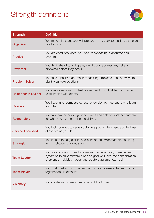# Strength definitions



| <b>Strength</b>             | <b>Definition</b>                                                                                                                                                                                         |
|-----------------------------|-----------------------------------------------------------------------------------------------------------------------------------------------------------------------------------------------------------|
| Organiser                   | You make plans and are well prepared. You seek to maximise time and<br>productivity.                                                                                                                      |
| <b>Precise</b>              | You are detail-focussed, you ensure everything is accurate and<br>error free.                                                                                                                             |
| <b>Preventer</b>            | You think ahead to anticipate, identify and address any risks or<br>problems before they occur.                                                                                                           |
| <b>Problem Solver</b>       | You take a positive approach to tackling problems and find ways to<br>identify suitable solutions.                                                                                                        |
| <b>Relationship Builder</b> | You quickly establish mutual respect and trust, building long lasting<br>relationships with others.                                                                                                       |
| <b>Resilient</b>            | You have inner composure, recover quickly from setbacks and learn<br>from them.                                                                                                                           |
| <b>Responsible</b>          | You take ownership for your decisions and hold yourself accountable<br>for what you have promised to deliver.                                                                                             |
| <b>Service Focussed</b>     | You look for ways to serve customers putting their needs at the heart<br>of everything you do.                                                                                                            |
| <b>Strategic</b>            | You look at the big picture and consider the wider factors and long<br>term implications of decisions.                                                                                                    |
| <b>Team Leader</b>          | You are confident to lead a team and can effectively manage team<br>dynamics to drive forward a shared goal. You take into consideration<br>everyone's individual needs and create a genuine team spirit. |
| <b>Team Player</b>          | You work well as part of a team and strive to ensure the team pulls<br>together and is effective.                                                                                                         |
| <b>Visionary</b>            | You create and share a clear vision of the future.                                                                                                                                                        |